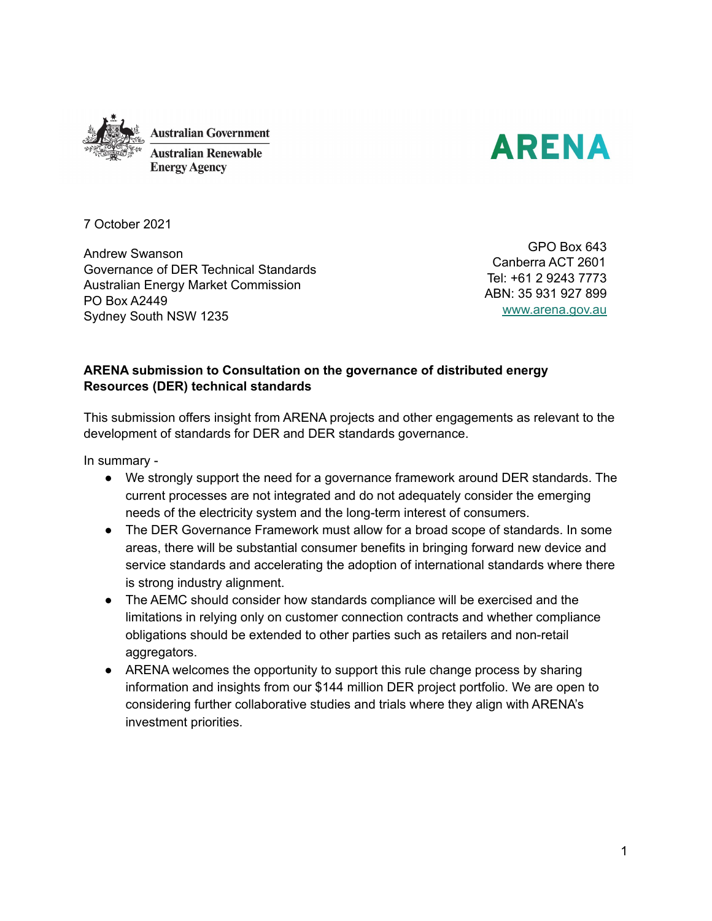



7 October 2021

Andrew Swanson Governance of DER Technical Standards Australian Energy Market Commission PO Box A2449 Sydney South NSW 1235

GPO Box 643 Canberra ACT 2601 Tel: +61 2 9243 7773 ABN: 35 931 927 899 [www.arena.gov.au](http://www.arena.gov.au)

#### **ARENA submission to Consultation on the governance of distributed energy Resources (DER) technical standards**

This submission offers insight from ARENA projects and other engagements as relevant to the development of standards for DER and DER standards governance.

In summary -

- We strongly support the need for a governance framework around DER standards. The current processes are not integrated and do not adequately consider the emerging needs of the electricity system and the long-term interest of consumers.
- The DER Governance Framework must allow for a broad scope of standards. In some areas, there will be substantial consumer benefits in bringing forward new device and service standards and accelerating the adoption of international standards where there is strong industry alignment.
- The AEMC should consider how standards compliance will be exercised and the limitations in relying only on customer connection contracts and whether compliance obligations should be extended to other parties such as retailers and non-retail aggregators.
- ARENA welcomes the opportunity to support this rule change process by sharing information and insights from our \$144 million DER project portfolio. We are open to considering further collaborative studies and trials where they align with ARENA's investment priorities.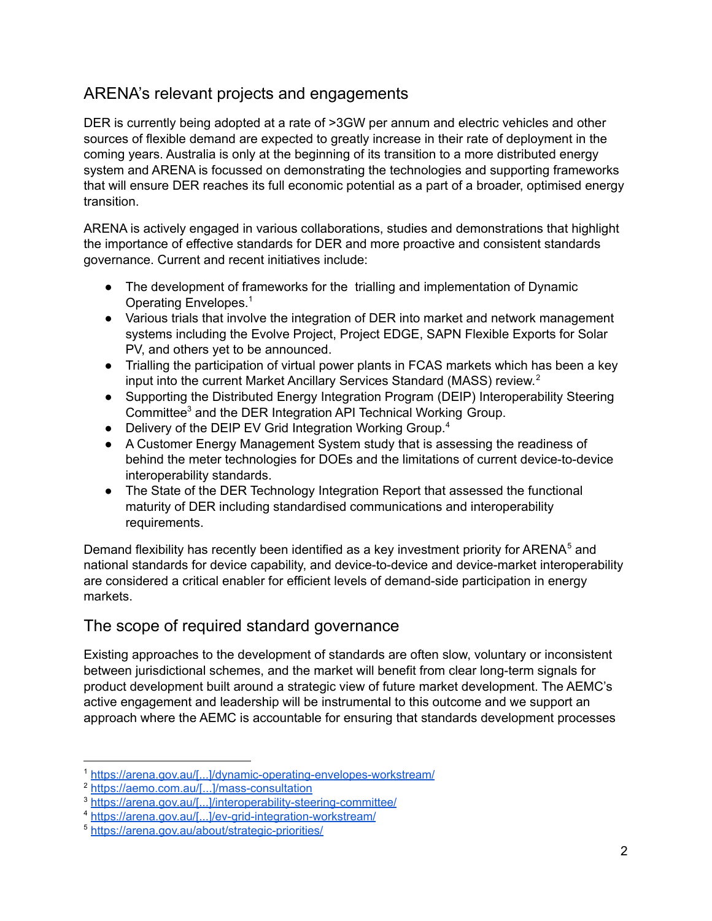# ARENA's relevant projects and engagements

DER is currently being adopted at a rate of >3GW per annum and electric vehicles and other sources of flexible demand are expected to greatly increase in their rate of deployment in the coming years. Australia is only at the beginning of its transition to a more distributed energy system and ARENA is focussed on demonstrating the technologies and supporting frameworks that will ensure DER reaches its full economic potential as a part of a broader, optimised energy transition.

ARENA is actively engaged in various collaborations, studies and demonstrations that highlight the importance of effective standards for DER and more proactive and consistent standards governance. Current and recent initiatives include:

- The development of frameworks for the trialling and implementation of Dynamic Operating Envelopes. 1
- Various trials that involve the integration of DER into market and network management systems including the Evolve Project, Project EDGE, SAPN Flexible Exports for Solar PV, and others yet to be announced.
- Trialling the participation of virtual power plants in FCAS markets which has been a key input into the current Market Ancillary Services Standard (MASS) review. 2
- Supporting the Distributed Energy Integration Program (DEIP) Interoperability Steering Committee<sup>3</sup> and the DER Integration API Technical Working Group.
- Delivery of the DEIP EV Grid Integration Working Group.<sup>4</sup>
- A Customer Energy Management System study that is assessing the readiness of behind the meter technologies for DOEs and the limitations of current device-to-device interoperability standards.
- The State of the DER Technology Integration Report that assessed the functional maturity of DER including standardised communications and interoperability requirements.

Demand flexibility has recently been identified as a key investment priority for ARENA $5$  and national standards for device capability, and device-to-device and device-market interoperability are considered a critical enabler for efficient levels of demand-side participation in energy markets.

## The scope of required standard governance

Existing approaches to the development of standards are often slow, voluntary or inconsistent between jurisdictional schemes, and the market will benefit from clear long-term signals for product development built around a strategic view of future market development. The AEMC's active engagement and leadership will be instrumental to this outcome and we support an approach where the AEMC is accountable for ensuring that standards development processes

<sup>1</sup> [https://arena.gov.au/\[...\]/dynamic-operating-envelopes-workstream/](https://arena.gov.au/knowledge-innovation/distributed-energy-integration-program/dynamic-operating-envelopes-workstream/)

<sup>2</sup> [https://aemo.com.au/\[...\]/mass-consultation](https://aemo.com.au/en/consultations/current-and-closed-consultations/mass-consultation)

<sup>3</sup> [https://arena.gov.au/\[...\]/interoperability-steering-committee/](https://arena.gov.au/knowledge-innovation/distributed-energy-integration-program/interoperability-steering-committee/)

<sup>4</sup> [https://arena.gov.au/\[...\]/ev-grid-integration-workstream/](https://arena.gov.au/knowledge-innovation/distributed-energy-integration-program/ev-grid-integration-workstream/)

<sup>5</sup> <https://arena.gov.au/about/strategic-priorities/>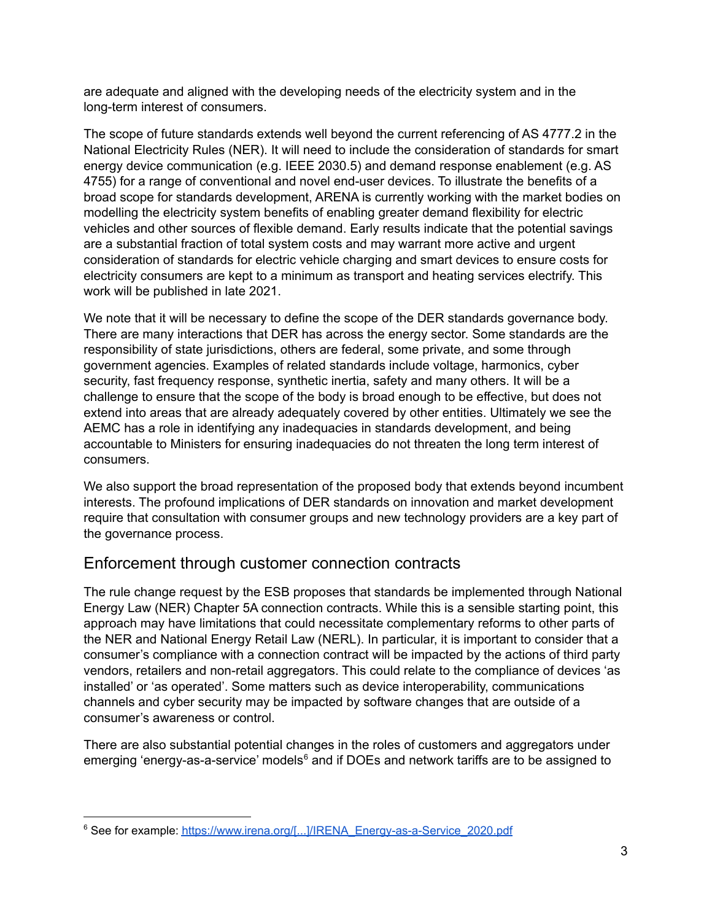are adequate and aligned with the developing needs of the electricity system and in the long-term interest of consumers.

The scope of future standards extends well beyond the current referencing of AS 4777.2 in the National Electricity Rules (NER). It will need to include the consideration of standards for smart energy device communication (e.g. IEEE 2030.5) and demand response enablement (e.g. AS 4755) for a range of conventional and novel end-user devices. To illustrate the benefits of a broad scope for standards development, ARENA is currently working with the market bodies on modelling the electricity system benefits of enabling greater demand flexibility for electric vehicles and other sources of flexible demand. Early results indicate that the potential savings are a substantial fraction of total system costs and may warrant more active and urgent consideration of standards for electric vehicle charging and smart devices to ensure costs for electricity consumers are kept to a minimum as transport and heating services electrify. This work will be published in late 2021.

We note that it will be necessary to define the scope of the DER standards governance body. There are many interactions that DER has across the energy sector. Some standards are the responsibility of state jurisdictions, others are federal, some private, and some through government agencies. Examples of related standards include voltage, harmonics, cyber security, fast frequency response, synthetic inertia, safety and many others. It will be a challenge to ensure that the scope of the body is broad enough to be effective, but does not extend into areas that are already adequately covered by other entities. Ultimately we see the AEMC has a role in identifying any inadequacies in standards development, and being accountable to Ministers for ensuring inadequacies do not threaten the long term interest of consumers.

We also support the broad representation of the proposed body that extends beyond incumbent interests. The profound implications of DER standards on innovation and market development require that consultation with consumer groups and new technology providers are a key part of the governance process.

#### Enforcement through customer connection contracts

The rule change request by the ESB proposes that standards be implemented through National Energy Law (NER) Chapter 5A connection contracts. While this is a sensible starting point, this approach may have limitations that could necessitate complementary reforms to other parts of the NER and National Energy Retail Law (NERL). In particular, it is important to consider that a consumer's compliance with a connection contract will be impacted by the actions of third party vendors, retailers and non-retail aggregators. This could relate to the compliance of devices 'as installed' or 'as operated'. Some matters such as device interoperability, communications channels and cyber security may be impacted by software changes that are outside of a consumer's awareness or control.

There are also substantial potential changes in the roles of customers and aggregators under emerging 'energy-as-a-service' models<sup>6</sup> and if DOEs and network tariffs are to be assigned to

<sup>&</sup>lt;sup>6</sup> See for example: [https://www.irena.org/\[...\]/IRENA\\_Energy-as-a-Service\\_2020.pdf](https://www.irena.org/-/media/Files/IRENA/Agency/Publication/2020/Jul/IRENA_Energy-as-a-Service_2020.pdf?la=en&hash=E81F973296F812182DB6E44804695344CEADE848)